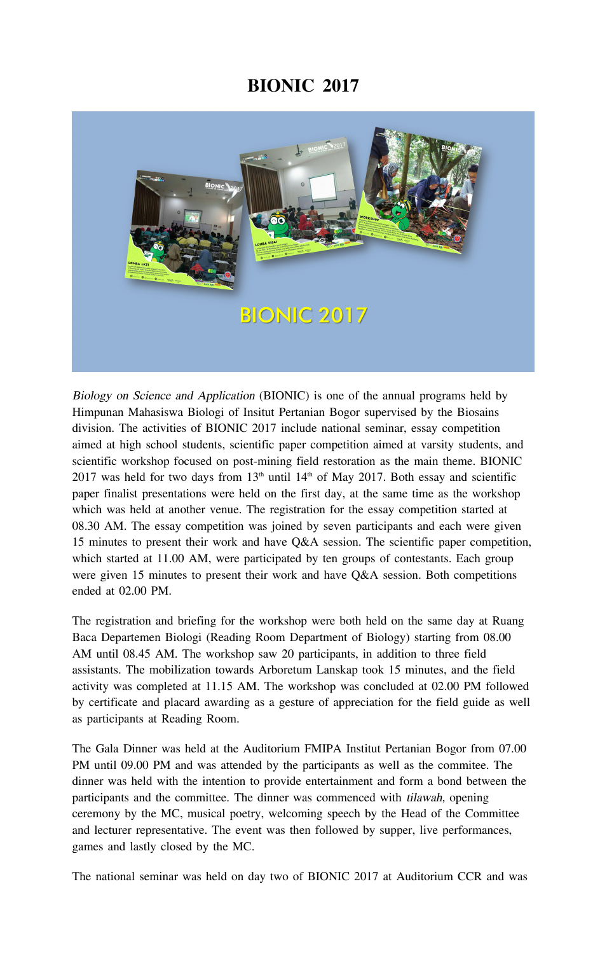## **BIONIC 2017**



Biology on Science and Application (BIONIC) is one of the annual programs held by Himpunan Mahasiswa Biologi of Insitut Pertanian Bogor supervised by the Biosains division. The activities of BIONIC 2017 include national seminar, essay competition aimed at high school students, scientific paper competition aimed at varsity students, and scientific workshop focused on post-mining field restoration as the main theme. BIONIC 2017 was held for two days from  $13<sup>th</sup>$  until  $14<sup>th</sup>$  of May 2017. Both essay and scientific paper finalist presentations were held on the first day, at the same time as the workshop which was held at another venue. The registration for the essay competition started at 08.30 AM. The essay competition was joined by seven participants and each were given 15 minutes to present their work and have Q&A session. The scientific paper competition, which started at 11.00 AM, were participated by ten groups of contestants. Each group were given 15 minutes to present their work and have Q&A session. Both competitions ended at 02.00 PM.

The registration and briefing for the workshop were both held on the same day at Ruang Baca Departemen Biologi (Reading Room Department of Biology) starting from 08.00 AM until 08.45 AM. The workshop saw 20 participants, in addition to three field assistants. The mobilization towards Arboretum Lanskap took 15 minutes, and the field activity was completed at 11.15 AM. The workshop was concluded at 02.00 PM followed by certificate and placard awarding as a gesture of appreciation for the field guide as well as participants at Reading Room.

The Gala Dinner was held at the Auditorium FMIPA Institut Pertanian Bogor from 07.00 PM until 09.00 PM and was attended by the participants as well as the commitee. The dinner was held with the intention to provide entertainment and form a bond between the participants and the committee. The dinner was commenced with tilawah, opening ceremony by the MC, musical poetry, welcoming speech by the Head of the Committee and lecturer representative. The event was then followed by supper, live performances, games and lastly closed by the MC.

The national seminar was held on day two of BIONIC 2017 at Auditorium CCR and was